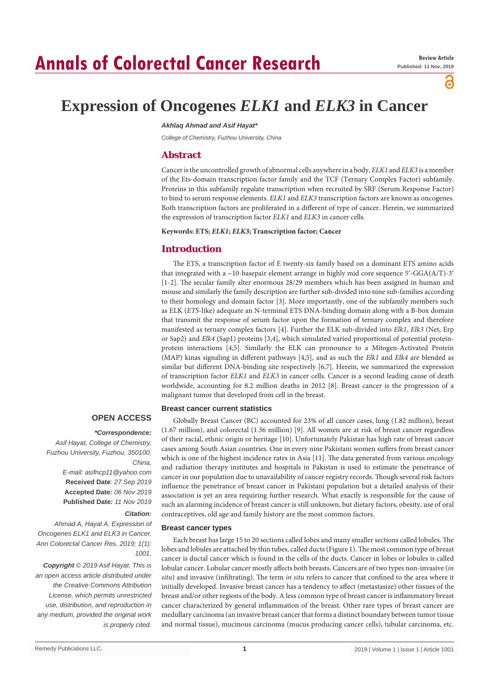# **Annals of Colorectal Cancer Research**

്

## **Expression of Oncogenes** *ELK1* **and** *ELK3* **in Cancer**

## *Akhlaq Ahmad and Asif Hayat\**

*College of Chemistry, Fuzhou University, China*

## **Abstract**

Cancer is the uncontrolled growth of abnormal cells anywhere in a body, *ELK1* and *ELK3* is a member of the Ets-domain transcription factor family and the TCF (Ternary Complex Factor) subfamily. Proteins in this subfamily regulate transcription when recruited by SRF (Serum Response Factor) to bind to serum response elements. *ELK1* and *ELK3* transcription factors are known as oncogenes. Both transcription factors are proliferated in a different of type of cancer. Herein, we summarized the expression of transcription factor *ELK1* and *ELK3* in cancer cells.

#### **Keywords: ETS;** *ELK1***;** *ELK3***; Transcription factor; Cancer**

## **Introduction**

The ETS, a transcription factor of E twenty-six family based on a dominant ETS amino acids that integrated with a ~10-basepair element arrange in highly mid core sequence 5′-GGA(A/T)-3′ [1-2]. The secular family alter enormous 28/29 members which has been assigned in human and mouse and similarly the family description are further sub-divided into nine sub-families according to their homology and domain factor [3]. More importantly, one of the subfamily members such as ELK (*ETS*-like) adequate an N-terminal ETS DNA-binding domain along with a B-box domain that transmit the response of serum factor upon the formation of ternary complex and therefore manifested as ternary complex factors [4]. Further the ELK sub-divided into *Elk1*, *Elk3* (Net, Erp or Sap2) and *Elk4* (Sap1) proteins [3,4], which simulated varied proportional of potential proteinprotein interactions [4,5]. Similarly the ELK can pronounce to a Mitogen-Activated Protein (MAP) kinas signaling in different pathways [4,5], and as such the *Elk1* and *Elk4* are blended as similar but different DNA-binding site respectively [6,7]. Herein, we summarized the expression of transcription factor *ELK1* and *ELK3* in cancer cells. Cancer is a second leading cause of death worldwide, accounting for 8.2 million deaths in 2012 [8]. Breast cancer is the progression of a malignant tumor that developed from cell in the breast.

## **Breast cancer current statistics**

## **OPEN ACCESS**

#### *\*Correspondence:*

*Asif Hayat, College of Chemistry, Fuzhou University, Fuzhou, 350100, China,*

> *E-mail: asifncp11@yahoo.com* **Received Date**: *27 Sep 2019* **Accepted Date***: 06 Nov 2019* **Published Date***: 11 Nov 2019*

## *Citation:*

*Ahmad A, Hayat A. Expression of Oncogenes ELK1 and ELK3 in Cancer. Ann Colorectal Cancer Res. 2019; 1(1): 1001.*

*Copyright © 2019 Asif Hayat. This is an open access article distributed under the Creative Commons Attribution License, which permits unrestricted use, distribution, and reproduction in any medium, provided the original work is properly cited.*

Globally Breast Cancer (BC) accounted for 23% of all cancer cases, lung (1.82 million), breast (1.67 million), and colorectal (1.36 million) [9]. All women are at risk of breast cancer regardless of their racial, ethnic origin or heritage [10]. Unfortunately Pakistan has high rate of breast cancer cases among South Asian countries. One in every nine Pakistani women suffers from breast cancer which is one of the highest incidence rates in Asia [11]. The data generated from various oncology and radiation therapy institutes and hospitals in Pakistan is used to estimate the penetrance of cancer in our population due to unavailability of cancer registry records. Though several risk factors influence the penetrance of breast cancer in Pakistani population but a detailed analysis of their association is yet an area requiring further research. What exactly is responsible for the cause of such an alarming incidence of breast cancer is still unknown, but dietary factors, obesity, use of oral contraceptives, old age and family history are the most common factors.

## **Breast cancer types**

Each breast has large 15 to 20 sections called lobes and many smaller sections called lobules. The lobes and lobules are attached by thin tubes, called ducts (Figure 1). The most common type of breast cancer is ductal cancer which is found in the cells of the ducts. Cancer in lobes or lobules is called lobular cancer. Lobular cancer mostly affects both breasts. Cancers are of two types non-invasive (*in situ*) and invasive (infiltrating). The term *in situ* refers to cancer that confined to the area where it initially developed. Invasive breast cancer has a tendency to affect (metastasize) other tissues of the breast and/or other regions of the body. A less common type of breast cancer is inflammatory breast cancer characterized by general inflammation of the breast. Other rare types of breast cancer are medullary carcinoma (an invasive breast cancer that forms a distinct boundary between tumor tissue and normal tissue), mucinous carcinoma (mucus producing cancer cells), tubular carcinoma, etc.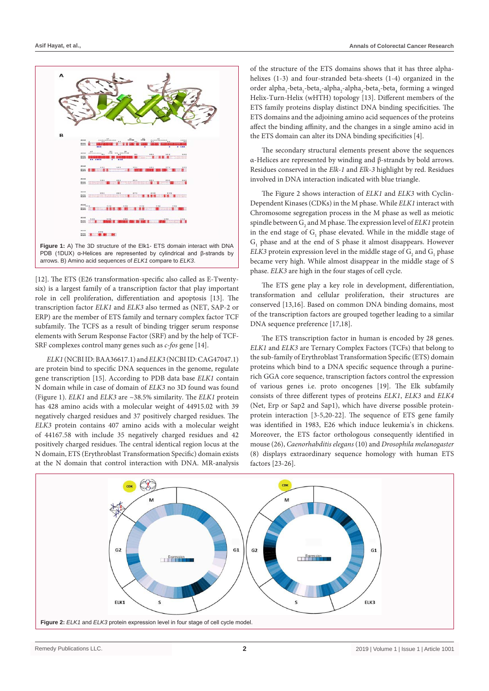



[12]. The ETS (E26 transformation-specific also called as E-Twentysix) is a largest family of a transcription factor that play important role in cell proliferation, differentiation and apoptosis [13]. The transcription factor *ELK1* and *ELK3* also termed as (NET, SAP-2 or ERP) are the member of ETS family and ternary complex factor TCF subfamily. The TCFS as a result of binding trigger serum response elements with Serum Response Factor (SRF) and by the help of TCF-SRF complexes control many genes such as *c-fos* gene [14].

*ELK1* (NCBI ID: BAA36617.1) and *ELK3* (NCBI ID: CAG47047.1) are protein bind to specific DNA sequences in the genome, regulate gene transcription [15]. According to PDB data base *ELK1* contain N domain while in case of domain of *ELK3* no 3D found was found (Figure 1). *ELK1* and *ELK3* are ~38.5% similarity. The *ELK1* protein has 428 amino acids with a molecular weight of 44915.02 with 39 negatively charged residues and 37 positively charged residues. The *ELK3* protein contains 407 amino acids with a molecular weight of 44167.58 with include 35 negatively charged residues and 42 positively charged residues. The central identical region locus at the N domain, ETS (Erythroblast Transformation Specific) domain exists at the N domain that control interaction with DNA. MR-analysis

of the structure of the ETS domains shows that it has three alphahelixes (1-3) and four-stranded beta-sheets (1-4) organized in the order alpha<sub>1</sub>-beta<sub>1</sub>-beta<sub>2</sub>-alpha<sub>2</sub>-alpha<sub>3</sub>-beta<sub>3</sub>-beta<sub>4</sub> forming a winged Helix-Turn-Helix (wHTH) topology [13]. Different members of the ETS family proteins display distinct DNA binding specificities. The ETS domains and the adjoining amino acid sequences of the proteins affect the binding affinity, and the changes in a single amino acid in the ETS domain can alter its DNA binding specificities [4].

The secondary structural elements present above the sequences α-Helices are represented by winding and β-strands by bold arrows. Residues conserved in the *Elk-1* and *Elk-3* highlight by red. Residues involved in DNA interaction indicated with blue triangle.

The Figure 2 shows interaction of *ELK1* and *ELK3* with Cyclin-Dependent Kinases (CDKs) in the M phase. While *ELK1* interact with Chromosome segregation process in the M phase as well as meiotic spindle between  $\mathrm{G}_\mathrm{2}$  and M phase. The expression level of  $ELK1$  protein in the end stage of  $G_1$  phase elevated. While in the middle stage of  $G<sub>1</sub>$  phase and at the end of S phase it almost disappears. However  $ELK3$  protein expression level in the middle stage of  $\mathrm{G}_2$  and  $\mathrm{G}_1$  phase became very high. While almost disappear in the middle stage of S phase. *ELK3* are high in the four stages of cell cycle.

The ETS gene play a key role in development, differentiation, transformation and cellular proliferation, their structures are conserved [13,16]. Based on common DNA binding domains, most of the transcription factors are grouped together leading to a similar DNA sequence preference [17,18].

The ETS transcription factor in human is encoded by 28 genes. *ELK1* and *ELK3* are Ternary Complex Factors (TCFs) that belong to the sub-family of Erythroblast Transformation Specific (ETS) domain proteins which bind to a DNA specific sequence through a purinerich GGA core sequence, transcription factors control the expression of various genes i.e. proto oncogenes [19]. The Elk subfamily consists of three different types of proteins *ELK1*, *ELK3* and *ELK4* (Net, Erp or Sap2 and Sap1), which have diverse possible proteinprotein interaction [3-5,20-22]. The sequence of ETS gene family was identified in 1983, E26 which induce leukemia's in chickens. Moreover, the ETS factor orthologous consequently identified in mouse (26), *Caenorhabditis elegans* (10) and *Drosophila melanogaster* (8) displays extraordinary sequence homology with human ETS factors [23-26].

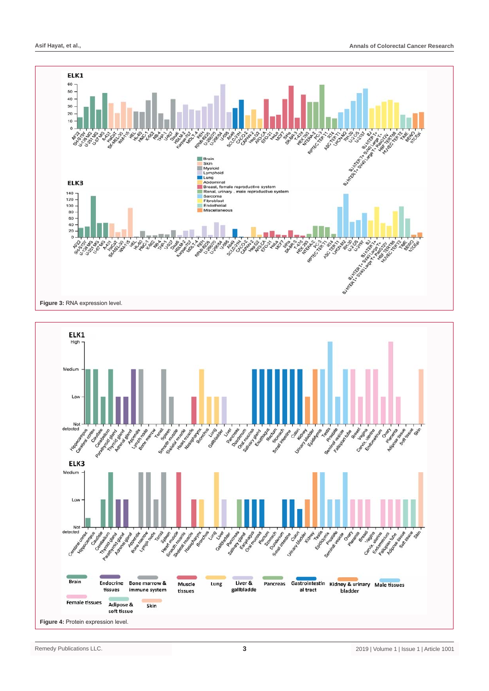

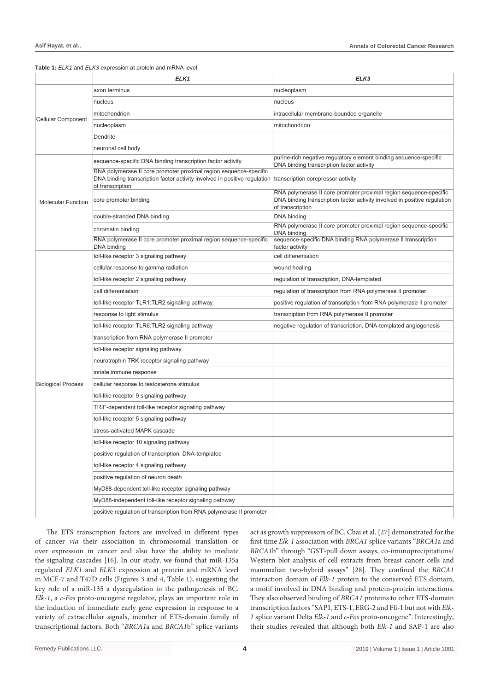## **Table 1:** *ELK1* and *ELK3* expression at protein and mRNA level.

|                           | ELK <sub>1</sub>                                                                                                                                                   | ELK3                                                                                                                                                               |
|---------------------------|--------------------------------------------------------------------------------------------------------------------------------------------------------------------|--------------------------------------------------------------------------------------------------------------------------------------------------------------------|
| <b>Cellular Component</b> | axon terminus                                                                                                                                                      | nucleoplasm                                                                                                                                                        |
|                           | nucleus                                                                                                                                                            | nucleus                                                                                                                                                            |
|                           | mitochondrion                                                                                                                                                      | intracellular membrane-bounded organelle                                                                                                                           |
|                           | nucleoplasm                                                                                                                                                        | mitochondrion                                                                                                                                                      |
|                           | Dendrite                                                                                                                                                           |                                                                                                                                                                    |
|                           | neuronal cell body                                                                                                                                                 |                                                                                                                                                                    |
| <b>Molecular Function</b> | sequence-specific DNA binding transcription factor activity                                                                                                        | purine-rich negative regulatory element binding sequence-specific<br>DNA binding transcription factor activity                                                     |
|                           | RNA polymerase II core promoter proximal region sequence-specific<br>DNA binding transcription factor activity involved in positive regulation<br>of transcription | transcription corepressor activity                                                                                                                                 |
|                           | core promoter binding                                                                                                                                              | RNA polymerase II core promoter proximal region sequence-specific<br>DNA binding transcription factor activity involved in positive regulation<br>of transcription |
|                           | double-stranded DNA binding                                                                                                                                        | DNA binding                                                                                                                                                        |
|                           | chromatin binding                                                                                                                                                  | RNA polymerase II core promoter proximal region sequence-specific<br>DNA binding                                                                                   |
|                           | RNA polymerase II core promoter proximal region sequence-specific<br>DNA binding                                                                                   | sequence-specific DNA binding RNA polymerase II transcription<br>factor activity                                                                                   |
| <b>Biological Process</b> | toll-like receptor 3 signaling pathway                                                                                                                             | cell differentiation                                                                                                                                               |
|                           | cellular response to gamma radiation                                                                                                                               | wound healing                                                                                                                                                      |
|                           | toll-like receptor 2 signaling pathway                                                                                                                             | regulation of transcription, DNA-templated                                                                                                                         |
|                           | cell differentiation                                                                                                                                               | regulation of transcription from RNA polymerase II promoter                                                                                                        |
|                           | toll-like receptor TLR1:TLR2 signaling pathway                                                                                                                     | positive regulation of transcription from RNA polymerase II promoter                                                                                               |
|                           | response to light stimulus                                                                                                                                         | transcription from RNA polymerase II promoter                                                                                                                      |
|                           | toll-like receptor TLR6: TLR2 signaling pathway                                                                                                                    | negative regulation of transcription, DNA-templated angiogenesis                                                                                                   |
|                           | transcription from RNA polymerase II promoter                                                                                                                      |                                                                                                                                                                    |
|                           | toll-like receptor signaling pathway                                                                                                                               |                                                                                                                                                                    |
|                           | neurotrophin TRK receptor signaling pathway                                                                                                                        |                                                                                                                                                                    |
|                           | innate immune response                                                                                                                                             |                                                                                                                                                                    |
|                           | cellular response to testosterone stimulus                                                                                                                         |                                                                                                                                                                    |
|                           | toll-like receptor 9 signaling pathway                                                                                                                             |                                                                                                                                                                    |
|                           | TRIF-dependent toll-like receptor signaling pathway                                                                                                                |                                                                                                                                                                    |
|                           | toll-like receptor 5 signaling pathway                                                                                                                             |                                                                                                                                                                    |
|                           | stress-activated MAPK cascade                                                                                                                                      |                                                                                                                                                                    |
|                           | toll-like receptor 10 signaling pathway                                                                                                                            |                                                                                                                                                                    |
|                           | positive regulation of transcription, DNA-templated                                                                                                                |                                                                                                                                                                    |
|                           | toll-like receptor 4 signaling pathway                                                                                                                             |                                                                                                                                                                    |
|                           | positive regulation of neuron death                                                                                                                                |                                                                                                                                                                    |
|                           | MyD88-dependent toll-like receptor signaling pathway                                                                                                               |                                                                                                                                                                    |
|                           | MyD88-independent toll-like receptor signaling pathway                                                                                                             |                                                                                                                                                                    |
|                           | positive regulation of transcription from RNA polymerase II promoter                                                                                               |                                                                                                                                                                    |

The ETS transcription factors are involved in different types of cancer *via* their association in chromosomal translation or over expression in cancer and also have the ability to mediate the signaling cascades [16]. In our study, we found that miR-135a regulated *ELK1* and *ELK3* expression at protein and mRNA level in MCF-7 and T47D cells (Figures 3 and 4, Table 1), suggesting the key role of a miR-135 a dysregulation in the pathogenesis of BC. *Elk-1*, a *c-Fos* proto-oncogene regulator, plays an important role in the induction of immediate early gene expression in response to a variety of extracellular signals, member of ETS-domain family of transcriptional factors. Both "*BRCA1*a and *BRCA1*b" splice variants act as growth suppressors of BC. Chai et al. [27] demonstrated for the first time *Elk-1* association with *BRCA1* splice variants "*BRCA1*a and *BRCA1*b" through "GST-pull down assays, co-imunoprecipitations/ Western blot analysis of cell extracts from breast cancer cells and mammalian two-hybrid assays" [28]. They confined the *BRCA1* interaction domain of *Elk-1* protein to the conserved ETS domain, a motif involved in DNA binding and protein-protein interactions. They also observed binding of *BRCA1* proteins to other ETS-domain transcription factors "SAP1, ETS-1, ERG-2 and Fli-1 but not with *Elk-1* splice variant Delta *Elk-1* and *c-Fos* proto-oncogene". Interestingly, their studies revealed that although both *Elk-1* and SAP-1 are also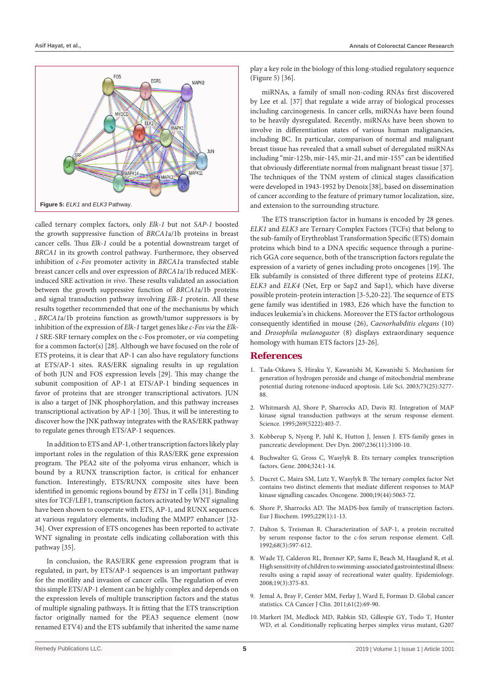

called ternary complex factors, only *Elk-1* but not *SAP-1* boosted the growth suppressive function of *BRCA1*a/1b proteins in breast cancer cells. Thus *Elk-1* could be a potential downstream target of *BRCA1* in its growth control pathway. Furthermore, they observed inhibition of *c-Fos* promoter activity in *BRCA1*a transfected stable breast cancer cells and over expression of *BRCA1*a/1b reduced MEKinduced SRE activation *in vivo*. These results validated an association between the growth suppressive function of *BRCA1*a/1b proteins and signal transduction pathway involving *Elk-1* protein. All these results together recommended that one of the mechanisms by which *BRCA1*a/1b proteins function as growth/tumor suppressors is by inhibition of the expression of *Elk-1* target genes like *c-Fos via* the *Elk-1* SRE-SRF ternary complex on the c-Fos promoter, or *via* competing for a common factor(s) [28]. Although we have focused on the role of ETS proteins, it is clear that AP-1 can also have regulatory functions at ETS/AP-1 sites. RAS/ERK signaling results in up regulation of both JUN and FOS expression levels [29]. This may change the subunit composition of AP-1 at ETS/AP-1 binding sequences in favor of proteins that are stronger transcriptional activators. JUN is also a target of JNK phosphorylation, and this pathway increases transcriptional activation by AP-1 [30]. Thus, it will be interesting to discover how the JNK pathway integrates with the RAS/ERK pathway to regulate genes through ETS/AP-1 sequences.

In addition to ETS and AP-1, other transcription factors likely play important roles in the regulation of this RAS/ERK gene expression program. The PEA2 site of the polyoma virus enhancer, which is bound by a RUNX transcription factor, is critical for enhancer function. Interestingly, ETS/RUNX composite sites have been identified in genomic regions bound by *ETS1* in T cells [31]. Binding sites for TCF/LEF1, transcription factors activated by WNT signaling have been shown to cooperate with ETS, AP-1, and RUNX sequences at various regulatory elements, including the MMP7 enhancer [32- 34]. Over expression of ETS oncogenes has been reported to activate WNT signaling in prostate cells indicating collaboration with this pathway [35].

In conclusion, the RAS/ERK gene expression program that is regulated, in part, by ETS/AP-1 sequences is an important pathway for the motility and invasion of cancer cells. The regulation of even this simple ETS/AP-1 element can be highly complex and depends on the expression levels of multiple transcription factors and the status of multiple signaling pathways. It is fitting that the ETS transcription factor originally named for the PEA3 sequence element (now renamed ETV4) and the ETS subfamily that inherited the same name play a key role in the biology of this long-studied regulatory sequence (Figure 5) [36].

miRNAs, a family of small non-coding RNAs first discovered by Lee et al. [37] that regulate a wide array of biological processes including carcinogenesis. In cancer cells, miRNAs have been found to be heavily dysregulated. Recently, miRNAs have been shown to involve in differentiation states of various human malignancies, including BC. In particular, comparison of normal and malignant breast tissue has revealed that a small subset of deregulated miRNAs including "mir-125b, mir-145, mir-21, and mir-155" can be identified that obviously differentiate normal from malignant breast tissue [37]. The techniques of the TNM system of clinical stages classification were developed in 1943-1952 by Denoix[38], based on dissemination of cancer according to the feature of primary tumor localization, size, and extension to the surrounding structure.

The ETS transcription factor in humans is encoded by 28 genes. *ELK1* and *ELK3* are Ternary Complex Factors (TCFs) that belong to the sub-family of Erythroblast Transformation Specific (ETS) domain proteins which bind to a DNA specific sequence through a purinerich GGA core sequence, both of the transcription factors regulate the expression of a variety of genes including proto oncogenes [19]. The Elk subfamily is consisted of three different type of proteins *ELK1*, *ELK3* and *ELK4* (Net, Erp or Sap2 and Sap1), which have diverse possible protein-protein interaction [3-5,20-22]. The sequence of ETS gene family was identified in 1983, E26 which have the function to induces leukemia's in chickens. Moreover the ETS factor orthologous consequently identified in mouse (26), *Caenorhabditis elegans* (10) and *Drosophila melanogaster* (8) displays extraordinary sequence homology with human ETS factors [23-26].

#### **References**

- 1. [Tada-Oikawa S, Hiraku Y, Kawanishi M, Kawanishi S. Mechanism for](https://www.ncbi.nlm.nih.gov/pubmed/14561532)  [generation of hydrogen peroxide and change of mitochondrial membrane](https://www.ncbi.nlm.nih.gov/pubmed/14561532)  [potential during rotenone-induced apoptosis. Life Sci. 2003;73\(25\):3277-](https://www.ncbi.nlm.nih.gov/pubmed/14561532) [88.](https://www.ncbi.nlm.nih.gov/pubmed/14561532)
- 2. [Whitmarsh AJ, Shore P, Sharrocks AD, Davis RJ. Integration of MAP](https://www.ncbi.nlm.nih.gov/pubmed/7618106)  [kinase signal transduction pathways at the serum response element.](https://www.ncbi.nlm.nih.gov/pubmed/7618106)  [Science. 1995;269\(5222\):403-7.](https://www.ncbi.nlm.nih.gov/pubmed/7618106)
- 3. Kobberup S, Nyeng P, Juhl K, Hutton J, Jensen J. ETS‐family genes in pancreatic development. Dev Dyn. 2007;236(11):3100-10.
- 4. [Buchwalter G, Gross C, Wasylyk B. Ets ternary complex transcription](https://www.ncbi.nlm.nih.gov/pubmed/14693367)  [factors. Gene. 2004;324:1-14.](https://www.ncbi.nlm.nih.gov/pubmed/14693367)
- 5. [Ducret C, Maira SM, Lutz Y, Wasylyk B. The ternary complex factor Net](https://www.ncbi.nlm.nih.gov/pubmed/11042694)  [contains two distinct elements that mediate different responses to MAP](https://www.ncbi.nlm.nih.gov/pubmed/11042694)  [kinase signalling cascades. Oncogene. 2000;19\(44\):5063-72.](https://www.ncbi.nlm.nih.gov/pubmed/11042694)
- 6. [Shore P, Sharrocks AD. The MADS‐box family of transcription factors.](https://www.ncbi.nlm.nih.gov/pubmed/7744019)  [Eur J Biochem. 1995;229\(1\):1-13.](https://www.ncbi.nlm.nih.gov/pubmed/7744019)
- 7. [Dalton S, Treisman R. Characterization of SAP-1, a protein recruited](https://www.ncbi.nlm.nih.gov/pubmed/1339307)  [by serum response factor to the c-fos serum response element. Cell.](https://www.ncbi.nlm.nih.gov/pubmed/1339307)  [1992;68\(3\):597-612.](https://www.ncbi.nlm.nih.gov/pubmed/1339307)
- 8. [Wade TJ, Calderon RL, Brenner KP, Sams E, Beach M, Haugland R, et al.](https://www.jstor.org/stable/20485653?seq=1#page_scan_tab_contents)  [High sensitivity of children to swimming-associated gastrointestinal illness:](https://www.jstor.org/stable/20485653?seq=1#page_scan_tab_contents)  [results using a rapid assay of recreational water quality. Epidemiology.](https://www.jstor.org/stable/20485653?seq=1#page_scan_tab_contents)  [2008;19\(3\):375-83.](https://www.jstor.org/stable/20485653?seq=1#page_scan_tab_contents)
- 9. [Jemal A, Bray F, Center MM, Ferlay J, Ward E, Forman D. Global cancer](https://www.ncbi.nlm.nih.gov/pubmed/21296855)  [statistics. CA Cancer J Clin. 2011;61\(2\):69-90.](https://www.ncbi.nlm.nih.gov/pubmed/21296855)
- 10. [Markert JM, Medlock MD, Rabkin SD, Gillespie GY, Todo T, Hunter](https://www.ncbi.nlm.nih.gov/pubmed/10845725)  [WD, et al. Conditionally replicating herpes simplex virus mutant, G207](https://www.ncbi.nlm.nih.gov/pubmed/10845725)